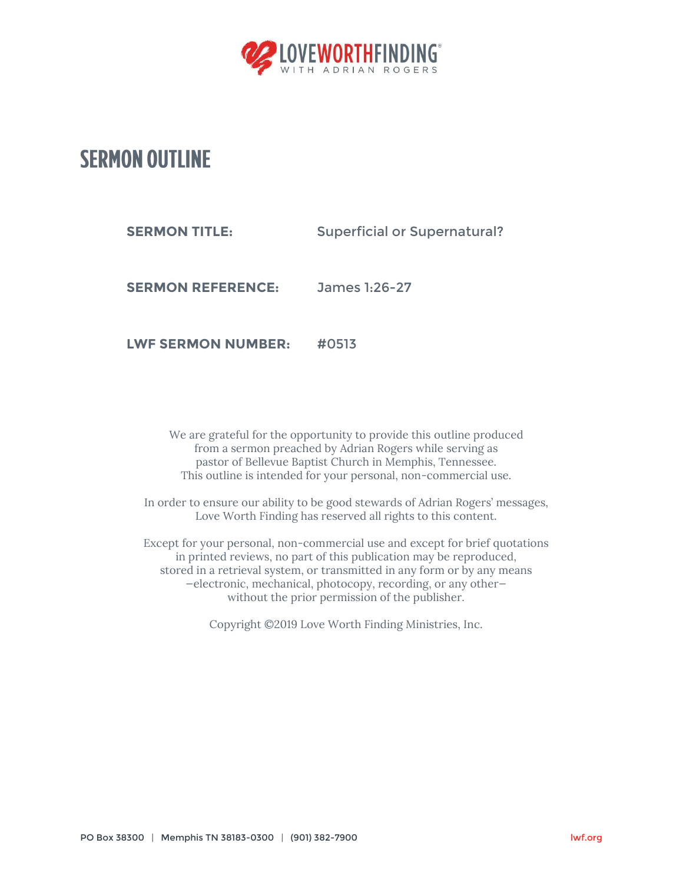

## **SERMON OUTLINE**

**SERMON TITLE:** Superficial or Supernatural?

**SERMON REFERENCE:** James 1:26-27

**LWF SERMON NUMBER:** #0513

We are grateful for the opportunity to provide this outline produced from a sermon preached by Adrian Rogers while serving as pastor of Bellevue Baptist Church in Memphis, Tennessee. This outline is intended for your personal, non-commercial use.

In order to ensure our ability to be good stewards of Adrian Rogers' messages, Love Worth Finding has reserved all rights to this content.

Except for your personal, non-commercial use and except for brief quotations in printed reviews, no part of this publication may be reproduced, stored in a retrieval system, or transmitted in any form or by any means —electronic, mechanical, photocopy, recording, or any other without the prior permission of the publisher.

Copyright ©2019 Love Worth Finding Ministries, Inc.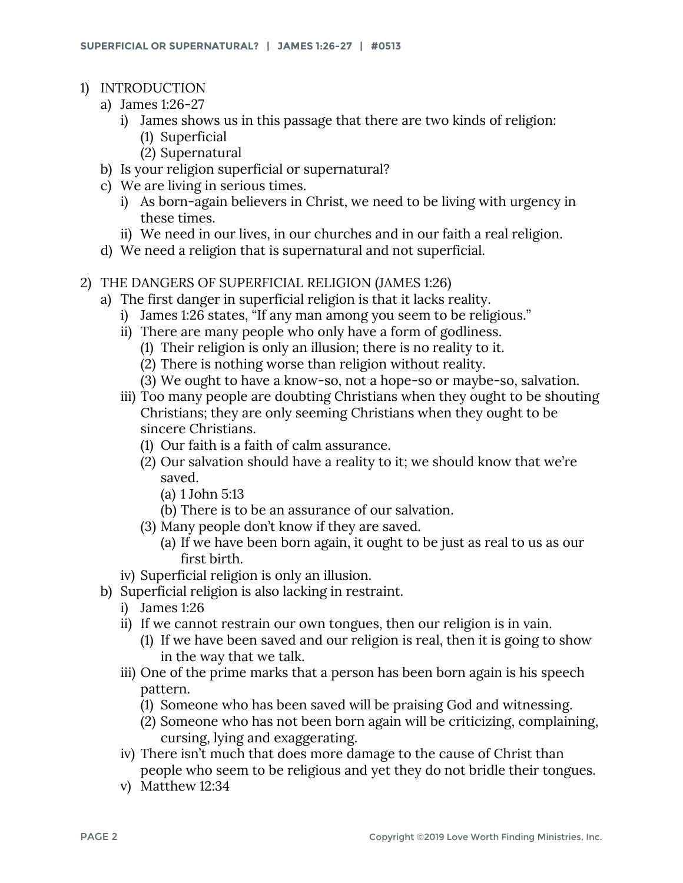- 1) INTRODUCTION
	- a) James 1:26-27
		- i) James shows us in this passage that there are two kinds of religion:
			- (1) Superficial
			- (2) Supernatural
	- b) Is your religion superficial or supernatural?
	- c) We are living in serious times.
		- i) As born-again believers in Christ, we need to be living with urgency in these times.
		- ii) We need in our lives, in our churches and in our faith a real religion.
	- d) We need a religion that is supernatural and not superficial.
- 2) THE DANGERS OF SUPERFICIAL RELIGION (JAMES 1:26)
	- a) The first danger in superficial religion is that it lacks reality.
		- i) James 1:26 states, "If any man among you seem to be religious."
		- ii) There are many people who only have a form of godliness.
			- (1) Their religion is only an illusion; there is no reality to it.
			- (2) There is nothing worse than religion without reality.
			- (3) We ought to have a know-so, not a hope-so or maybe-so, salvation.
		- iii) Too many people are doubting Christians when they ought to be shouting Christians; they are only seeming Christians when they ought to be sincere Christians.
			- (1) Our faith is a faith of calm assurance.
			- (2) Our salvation should have a reality to it; we should know that we're saved.
				- (a) 1 John 5:13
				- (b) There is to be an assurance of our salvation.
			- (3) Many people don't know if they are saved.
				- (a) If we have been born again, it ought to be just as real to us as our first birth.
		- iv) Superficial religion is only an illusion.
	- b) Superficial religion is also lacking in restraint.
		- i) James 1:26
		- ii) If we cannot restrain our own tongues, then our religion is in vain.
			- (1) If we have been saved and our religion is real, then it is going to show in the way that we talk.
		- iii) One of the prime marks that a person has been born again is his speech pattern.
			- (1) Someone who has been saved will be praising God and witnessing.
			- (2) Someone who has not been born again will be criticizing, complaining, cursing, lying and exaggerating.
		- iv) There isn't much that does more damage to the cause of Christ than people who seem to be religious and yet they do not bridle their tongues.
		- v) Matthew 12:34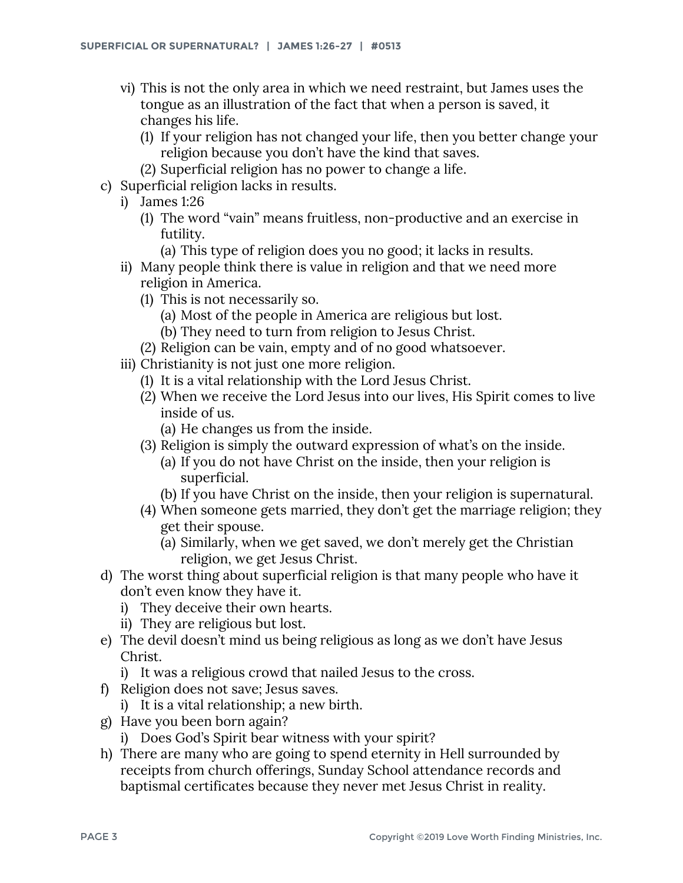- vi) This is not the only area in which we need restraint, but James uses the tongue as an illustration of the fact that when a person is saved, it changes his life.
	- (1) If your religion has not changed your life, then you better change your religion because you don't have the kind that saves.
	- (2) Superficial religion has no power to change a life.
- c) Superficial religion lacks in results.
	- i) James 1:26
		- (1) The word "vain" means fruitless, non-productive and an exercise in futility.
			- (a) This type of religion does you no good; it lacks in results.
	- ii) Many people think there is value in religion and that we need more religion in America.
		- (1) This is not necessarily so.
			- (a) Most of the people in America are religious but lost.
			- (b) They need to turn from religion to Jesus Christ.
		- (2) Religion can be vain, empty and of no good whatsoever.
	- iii) Christianity is not just one more religion.
		- (1) It is a vital relationship with the Lord Jesus Christ.
		- (2) When we receive the Lord Jesus into our lives, His Spirit comes to live inside of us.
			- (a) He changes us from the inside.
		- (3) Religion is simply the outward expression of what's on the inside.
			- (a) If you do not have Christ on the inside, then your religion is superficial.
			- (b) If you have Christ on the inside, then your religion is supernatural.
		- (4) When someone gets married, they don't get the marriage religion; they get their spouse.
			- (a) Similarly, when we get saved, we don't merely get the Christian religion, we get Jesus Christ.
- d) The worst thing about superficial religion is that many people who have it don't even know they have it.
	- i) They deceive their own hearts.
	- ii) They are religious but lost.
- e) The devil doesn't mind us being religious as long as we don't have Jesus Christ.
	- i) It was a religious crowd that nailed Jesus to the cross.
- f) Religion does not save; Jesus saves.
	- i) It is a vital relationship; a new birth.
- g) Have you been born again?
	- i) Does God's Spirit bear witness with your spirit?
- h) There are many who are going to spend eternity in Hell surrounded by receipts from church offerings, Sunday School attendance records and baptismal certificates because they never met Jesus Christ in reality.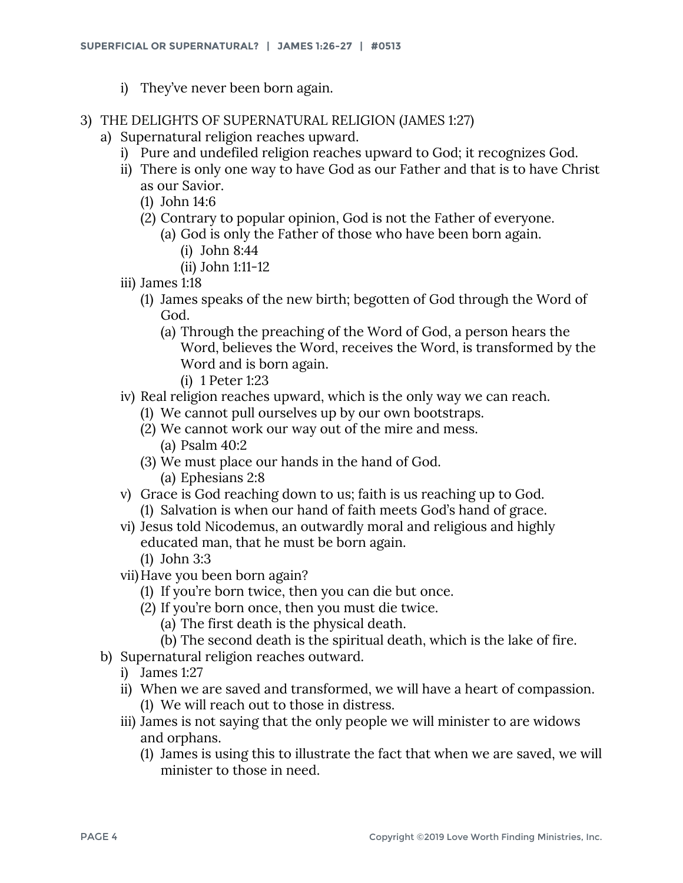- i) They've never been born again.
- 3) THE DELIGHTS OF SUPERNATURAL RELIGION (JAMES 1:27)
	- a) Supernatural religion reaches upward.
		- i) Pure and undefiled religion reaches upward to God; it recognizes God.
		- ii) There is only one way to have God as our Father and that is to have Christ as our Savior.
			- (1) John 14:6
			- (2) Contrary to popular opinion, God is not the Father of everyone.
				- (a) God is only the Father of those who have been born again. (i) John 8:44
					- (ii) John 1:11-12
		- iii) James 1:18
			- (1) James speaks of the new birth; begotten of God through the Word of God.
				- (a) Through the preaching of the Word of God, a person hears the Word, believes the Word, receives the Word, is transformed by the Word and is born again.
					- (i) 1 Peter 1:23
		- iv) Real religion reaches upward, which is the only way we can reach.
			- (1) We cannot pull ourselves up by our own bootstraps.
			- (2) We cannot work our way out of the mire and mess. (a) Psalm 40:2
			- (3) We must place our hands in the hand of God. (a) Ephesians 2:8
		- v) Grace is God reaching down to us; faith is us reaching up to God. (1) Salvation is when our hand of faith meets God's hand of grace.
		- vi) Jesus told Nicodemus, an outwardly moral and religious and highly educated man, that he must be born again.
			- (1) John 3:3
		- vii)Have you been born again?
			- (1) If you're born twice, then you can die but once.
			- (2) If you're born once, then you must die twice.
				- (a) The first death is the physical death.
				- (b) The second death is the spiritual death, which is the lake of fire.
	- b) Supernatural religion reaches outward.
		- i) James 1:27
		- ii) When we are saved and transformed, we will have a heart of compassion.
			- (1) We will reach out to those in distress.
		- iii) James is not saying that the only people we will minister to are widows and orphans.
			- (1) James is using this to illustrate the fact that when we are saved, we will minister to those in need.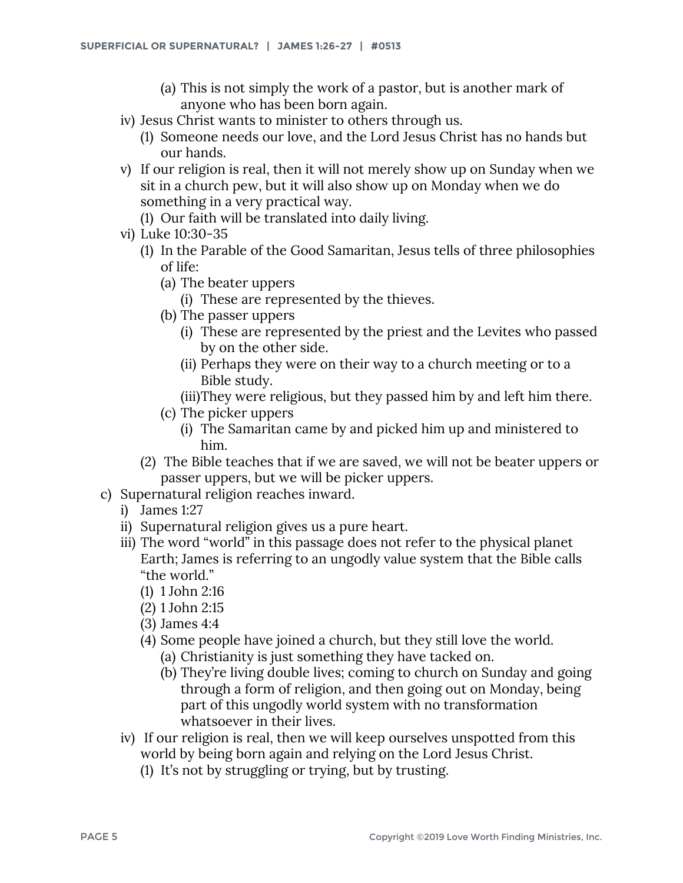- (a) This is not simply the work of a pastor, but is another mark of anyone who has been born again.
- iv) Jesus Christ wants to minister to others through us.
	- (1) Someone needs our love, and the Lord Jesus Christ has no hands but our hands.
- v) If our religion is real, then it will not merely show up on Sunday when we sit in a church pew, but it will also show up on Monday when we do something in a very practical way.
	- (1) Our faith will be translated into daily living.
- vi) Luke 10:30-35
	- (1) In the Parable of the Good Samaritan, Jesus tells of three philosophies of life:
		- (a) The beater uppers
			- (i) These are represented by the thieves.
		- (b) The passer uppers
			- (i) These are represented by the priest and the Levites who passed by on the other side.
			- (ii) Perhaps they were on their way to a church meeting or to a Bible study.
			- (iii)They were religious, but they passed him by and left him there.
		- (c) The picker uppers
			- (i) The Samaritan came by and picked him up and ministered to him.
	- (2) The Bible teaches that if we are saved, we will not be beater uppers or passer uppers, but we will be picker uppers.
- c) Supernatural religion reaches inward.
	- i) James 1:27
	- ii) Supernatural religion gives us a pure heart.
	- iii) The word "world" in this passage does not refer to the physical planet Earth; James is referring to an ungodly value system that the Bible calls "the world."
		- (1) 1 John 2:16
		- (2) 1 John 2:15
		- (3) James 4:4
		- (4) Some people have joined a church, but they still love the world.
			- (a) Christianity is just something they have tacked on.
			- (b) They're living double lives; coming to church on Sunday and going through a form of religion, and then going out on Monday, being part of this ungodly world system with no transformation whatsoever in their lives.
	- iv) If our religion is real, then we will keep ourselves unspotted from this world by being born again and relying on the Lord Jesus Christ.
		- (1) It's not by struggling or trying, but by trusting.